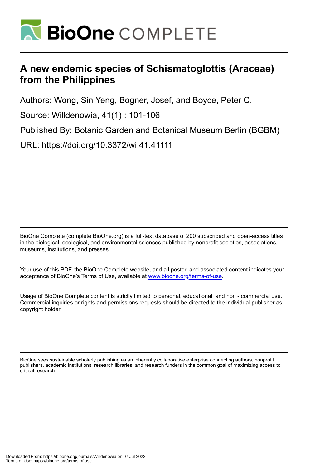

# **A new endemic species of Schismatoglottis (Araceae) from the Philippines**

Authors: Wong, Sin Yeng, Bogner, Josef, and Boyce, Peter C.

Source: Willdenowia, 41(1) : 101-106

Published By: Botanic Garden and Botanical Museum Berlin (BGBM)

URL: https://doi.org/10.3372/wi.41.41111

BioOne Complete (complete.BioOne.org) is a full-text database of 200 subscribed and open-access titles in the biological, ecological, and environmental sciences published by nonprofit societies, associations, museums, institutions, and presses.

Your use of this PDF, the BioOne Complete website, and all posted and associated content indicates your acceptance of BioOne's Terms of Use, available at www.bioone.org/terms-of-use.

Usage of BioOne Complete content is strictly limited to personal, educational, and non - commercial use. Commercial inquiries or rights and permissions requests should be directed to the individual publisher as copyright holder.

BioOne sees sustainable scholarly publishing as an inherently collaborative enterprise connecting authors, nonprofit publishers, academic institutions, research libraries, and research funders in the common goal of maximizing access to critical research.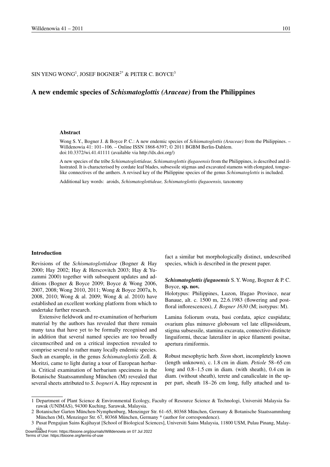# SIN YENG WONG $^1$ , JOSEF BOGNER $^{2^\ast}$  & PETER C. BOYCE $^3$

# **A new endemic species of** *Schismatoglottis (Araceae)* **from the Philippines**

#### **Abstract**

Wong S. Y., Bogner J. & Boyce P. C.: A new endemic species of *Schismatoglottis (Araceae)* from the Philippines. – Willdenowia 41: 101–106. – Online ISSN 1868-6397; © 2011 BGBM Berlin-Dahlem. doi:10.3372/wi.41.41111 (available via http://dx.doi.org/)

A new species of the tribe *Schismatoglottideae, Schismatoglottis ifugaoensis* from the Philippines, is described and illustrated. It is characterised by cordate leaf blades, subsessile stigmas and excavated stamens with elongated, tonguelike connectives of the anthers. A revised key of the Philippine species of the genus *Schismatoglottis* is included.

Additional key words: aroids, *Schismatoglottideae, Schismatoglottis ifugaoensis,* taxonomy

#### **Introduction**

Revisions of the *Schismatoglottideae* (Bogner & Hay 2000; Hay 2002; Hay & Herscovitch 2003; Hay & Yuzammi 2000) together with subsequent updates and additions (Bogner & Boyce 2009; Boyce & Wong 2006, 2007, 2008; Wong 2010, 2011; Wong & Boyce 2007a, b, 2008, 2010; Wong & al. 2009; Wong & al. 2010) have established an excellent working platform from which to undertake further research.

Extensive fieldwork and re-examination of herbarium material by the authors has revealed that there remain many taxa that have yet to be formally recognised and in addition that several named species are too broadly circumscribed and on a critical inspection revealed to comprise several to rather many locally endemic species. Such an example, in the genus *Schismatoglottis* Zoll. & Moritzi, came to light during a tour of European herbaria. Critical examination of herbarium specimens in the Botanische Staatssammlung München (M) revealed that several sheets attributed to *S. bogneri* A. Hay represent in fact a similar but morphologically distinct, undescribed species, which is described in the present paper.

# *Schismatoglottis ifugaoensis* S. Y. Wong, Bogner & P. C. Boyce, **sp. nov.**

Holotypus: Philippines, Luzon, Ifugao Province, near Banaue, alt. c. 1500 m, 22.6.1983 (flowering and postfloral inflorescences), *J. Bogner 1630* (M; isotypus: M).

Lamina foliorum ovata, basi cordata, apice cuspidata; ovarium plus minusve globosum vel late ellipsoideum, stigma subsessile, stamina excavata, connectivo distincte linguiformi, thecae lateraliter in apice filamenti positae, apertura rimiformis.

Robust mesophytic herb. *Stem* short, incompletely known (length unknown), c. 1.8 cm in diam. *Petiole* 58–65 cm long and 0.8–1.5 cm in diam. (with sheath), 0.4 cm in diam. (without sheath), terete and canaliculate in the upper part, sheath 18–26 cm long, fully attached and ta-

<sup>1</sup> Department of Plant Science & Environmental Ecology, Faculty of Resource Science & Technologi, Universiti Malaysia Sarawak (UNIMAS), 94300 Kuching, Sarawak, Malaysia.

<sup>2</sup> Botanischer Garten München-Nymphenburg, Menzinger Str. 61–65, 80368 München, Germany & Botanische Staatssammlung München (M), Menzinger Str. 67, 80368 München, Germany \* (author for correspondence).

<sup>3</sup> Pusat Pengajian Sains Kajihayat [School of Biological Sciences], Universiti Sains Malaysia, 11800 USM, Pulau Pinang, Malay-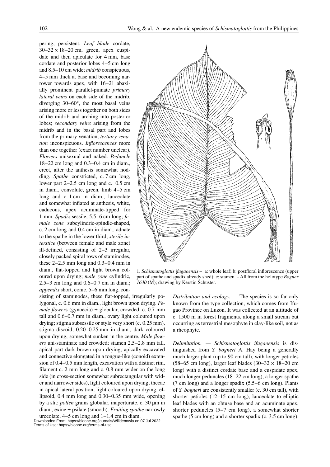pering, persistent. *Leaf blade* cordate,  $30-32 \times 18-20$  cm, green, apex cuspidate and then apiculate for 4 mm, base cordate and posterior lobes 4–5 cm long and 8.5–10 cm wide; *midrib* conspicuous, 4–5 mm thick at base and becoming narrower towards apex, with 16–21 abaxially prominent parallel-pinnate *primary lateral veins* on each side of the midrib, diverging 30–60°, the most basal veins arising more or less together on both sides of the midrib and arching into posterior lobes; *secondary veins* arising from the midrib and in the basal part and lobes from the primary venation, *tertiary venation* inconspicuous. *Inflorescences* more than one together (exact number unclear). *Flowers* unisexual and naked. *Peduncle* 18–22 cm long and 0.3–0.4 cm in diam., erect, after the anthesis somewhat nodding. *Spathe* constricted, c. 7 cm long, lower part 2–2.5 cm long and c. 0.5 cm in diam., convolute, green, limb 4–5 cm long and c. 1 cm in diam., lanceolate and somewhat inflated at anthesis, white, caducous, apex acuminate-tipped for 1 mm. *Spadix* sessile, 5.5–6 cm long; *female zone* subcylindric-spindle-shaped, c. 2 cm long and 0.4 cm in diam., adnate to the spathe in the lower third; *sterile interstice* (between female and male zone) ill-defined, consisting of 2–3 irregular, closely packed spiral rows of staminodes, these  $2-2.5$  mm long and  $0.3-0.4$  mm in diam., flat-topped and light brown coloured upon drying; *male zone* cylindric, 2.5–3 cm long and 0.6–0.7 cm in diam.; *appendix* short, conic, 5–6 mm long, con-

sisting of staminodes, these flat-topped, irregularly polygonal, c. 0.6 mm in diam., light brown upon drying. *Female flowers* (gynoecia)  $\pm$  globular, crowded, c. 0.7 mm tall and 0.6–0.7 mm in diam., ovary light coloured upon drying; stigma subsessile or style very short (c. 0.25 mm), stigma discoid, 0.20–0.25 mm in diam., dark coloured upon drying, somewhat sunken in the centre. *Male flowers* uni-staminate and crowded; stamen 2.5–2.8 mm tall, apical part dark brown upon drying, apically excavated and connective elongated in a tongue-like (conoid) extension of 0.4–0.5 mm length, excavation with a distinct rim, filament c. 2 mm long and c. 0.8 mm wider on the long side (in cross-section somewhat subrectangular with wider and narrower sides), light coloured upon drying; thecae in apical lateral position, light coloured upon drying, ellipsoid, 0.4 mm long and 0.30–0.35 mm wide, opening by a slit; *pollen* grains globular, inaperturate, c. 30 µm in diam., exine ± psilate (smooth). *Fruiting spathe* narrowly urceolate, 4–5 cm long and 1–1.4 cm in diam.

Downloaded From: https://bioone.org/journals/Willdenowia on 07 Jul 2022 Terms of Use: https://bioone.org/terms-of-use



1. *Schismatoglottis ifugaoensis* – a: whole leaf; b: postfloral inflorescence (upper part of spathe and spadix already shed); c: stamen. – All from the holotype *Bogner 1630* (M); drawing by Kerstin Schuster.

*Distribution and ecology. —* The species is so far only known from the type collection, which comes from Ifugao Province on Luzon. It was collected at an altitude of c. 1500 m in forest fragments, along a small stream but occurring as terrestrial mesophyte in clay-like soil, not as a rheophyte.

*Delimitation. — Schismatoglottis ifugaoensis* is distinguished from *S. bogneri* A. Hay being a generally much larger plant (up to 90 cm tall), with longer petioles  $(58–65 \text{ cm long})$ , larger leaf blades  $(30–32 \times 18–20 \text{ cm})$ long) with a distinct cordate base and a cuspidate apex, much longer peduncles (18–22 cm long), a longer spathe (7 cm long) and a longer spadix (5.5–6 cm long). Plants of *S. bogneri* are consistently smaller (c. 30 cm tall), with shorter petioles (12–15 cm long), lanceolate to elliptic leaf blades with an obtuse base and an acuminate apex, shorter peduncles (5–7 cm long), a somewhat shorter spathe (5 cm long) and a shorter spadix (c. 3.5 cm long).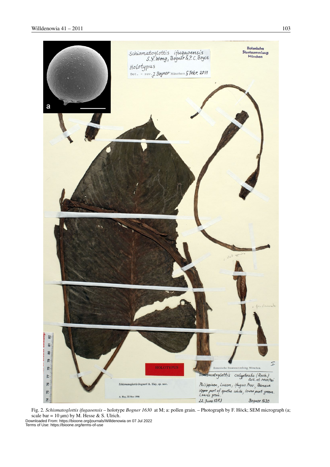

Fig. 2. *Schismatoglottis ifugaoensis* – holotype *Bogner 1630* at M; a: pollen grain. – Photograph by F. Höck; SEM micrograph (a; scale bar =  $10 \mu m$ ) by M. Hesse & S. Ulrich.

Downloaded From: https://bioone.org/journals/Willdenowia on 07 Jul 2022 Terms of Use: https://bioone.org/terms-of-use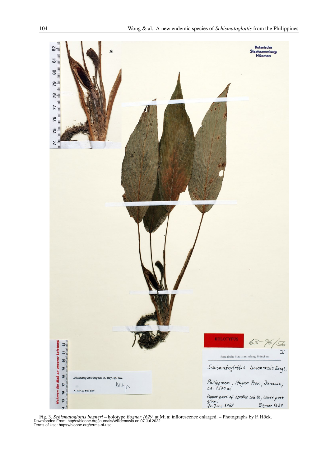

Fig. 3. Schismatoglottis bogneri – holotype Bogner 1629 at M; a: inflorescence enlarged. – Photographs by F. Höck.<br>Downloaded From: https://bioone.org/journals/Willdenowia on 07 Jul 2022<br>Terms of Use: https://bioone.org/te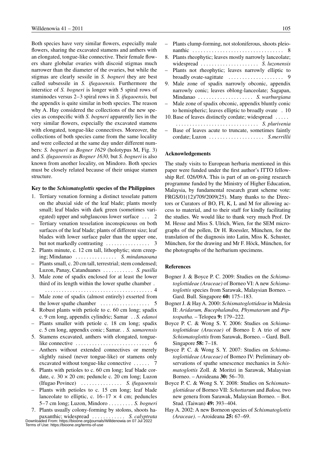Both species have very similar flowers, especially male flowers, sharing the excavated stamens and anthers with an elongated, tongue-like connective. Their female flowers share globular ovaries with discoid stigmas much narrower than the diameter of the ovaries, but while the stigmas are clearly sessile in *S. bogneri* they are best called subsessile in *S. ifugaoensis.* Furthermore the interstice of *S. bogneri* is longer with 5 spiral rows of staminodes versus 2–3 spiral rows in *S. ifugaoensis,* but the appendix is quite similar in both species. The reason why A. Hay considered the collections of the new species as conspecific with *S. bogneri* apparently lies in the very similar flowers, especially the excavated stamens with elongated, tongue-like connectives. Moreover, the collections of both species came from the same locality and were collected at the same day under different numbers: *S. bogneri* as *Bogner 1629* (holotypus M, Fig. 3) and *S. ifugaoensis* as *Bogner 1630,* but *S. bogneri* is also known from another locality, on Mindoro. Both species must be closely related because of their unique stamen structure.

## **Key to the** *Schismatoglottis* **species of the Philippines**

- 1. Tertiary venation forming a distinct tesselate pattern on the abaxial side of the leaf blade; plants mostly small; leaf blades with dark green (sometimes variegated) upper and subglaucous lower surface . . 2
- Tertiary venation tesselation inconspicuous on both surfaces of the leaf blade; plants of different size; leaf blades with lower surface paler than the upper one, but not markedly contrasting  $\dots \dots \dots \dots$  3
- 2. Plants minute, c. 12 cm tall, lithophytic; stem creeping; Mindanao. . . *S. mindanaoana*
- Plants small, c. 20 cm tall, terrestrial; stem condensed; Luzon, Panay, Catanduanes. . *S. pusilla*
- 3. Male zone of spadix enclosed for at least the lower third of its length within the lower spathe chamber. .
- . . 4 – Male zone of spadix (almost entirely) exserted from the lower spathe chamber  $\dots \dots \dots \dots \dots$  5
- 4. Robust plants with petiole to c. 60 cm long; spadix c. 9 cm long, appendix cylindric; Samar. . *S. edanoi* – Plants smaller with petiole c. 18 cm long; spadix
- c. 5 cm long, appendix conic ; Samar. . . *S. samarensis*
- 5. Stamens excavated, anthers with elongated, tonguelike connective  $\dots \dots \dots \dots \dots \dots \dots \dots \dots$  6
- Anthers without extended connectives or merely slightly raised (never tongue-like) or stamens only excavated without tongue-like connective. . . 7
- 6. Plants with petioles to c. 60 cm long; leaf blade cordate, c.  $30 \times 20$  cm; peduncle c.  $20$  cm long; Luzon (Ifugao Povince). . . *S. ifugaoensis*
- Plants with petioles to c. 15 cm long; leaf blade lanceolate to elliptic, c.  $16-17 \times 4$  cm; peduncles 5–7 cm long; Luzon, Mindoro . *S. bogneri*
- 7. Plants usually colony-forming by stolons, shoots ha-

paxanthic; widespread. . . *S. calyptrata* Downloaded From: https://bioone.org/journals/Willdenowia on 07 Jul 2022 Terms of Use: https://bioone.org/terms-of-use

|                          | - Plants clump-forming, not stoloniferous, shoots pleio- |
|--------------------------|----------------------------------------------------------|
|                          |                                                          |
|                          | 8. Plants rheophytic; leaves mostly narrowly lanceolate; |
|                          | widespread  S. luzonensis                                |
|                          | - Plants not rheophytic; leaves narrowly elliptic to     |
|                          |                                                          |
|                          | 9. Male zone of spadix narrowly obconic, appendix        |
|                          | narrowly conic; leaves oblong-lanceolate; Sagapan,       |
|                          | Mindanao  S. warburgiana                                 |
| $\overline{\phantom{0}}$ | Male zone of spadix obconic, appendix bluntly conic      |
|                          | to hemispheric; leaves elliptic to broadly ovate . 10    |
|                          | 10. Base of leaves distinctly cordate; widespread        |
|                          | S. plurivenia                                            |
|                          | - Base of leaves acute to truncate, sometimes faintly    |
|                          | cordate: Luzon  S <i>merrillii</i>                       |

## **Acknowledgements**

The study visits to European herbaria mentioned in this paper were funded under the first author's ITTO fellowship Ref. 026/09A. This is part of an on-going research programme funded by the Ministry of Higher Education, Malaysia, by fundamental research grant scheme vote: FRGS/01(12)/709/2009(25). Many thanks to the Directors or Curators of BO, FI, K, L and M for allowing access to material, and to their staff for kindly facilitating the studies. We would like to thank very much Prof. Dr M. Hesse and Miss S. Ulrich, Wien, for the SEM micrographs of the pollen, Dr H. Roessler, München, for the translation of the diagnosis into Latin, Miss K. Schuster, München, for the drawing and Mr F. Höck, München, for the photographs of the herbarium specimens.

### **References**

- Bogner J. & Boyce P. C. 2009: Studies on the *Schismatoglottideae (Araceae)* of Borneo VI: A new *Schismatoglottis* species from Sarawak, Malaysian Borneo. – Gard. Bull. Singapore **60:** 175–183.
- Bogner J. & Hay A. 2000: *Schismatoglottideae* in Malesia II: *Aridarum, Bucephalandra, Phymatarum* and *Piptospatha.* – Telopea **9:** 179–222.
- Boyce P. C. & Wong S. Y. 2006: Studies on *Schismatoglottideae (Araceae)* of Borneo I: A trio of new *Schismatoglottis* from Sarawak, Borneo. – Gard. Bull. Singapore **58:** 7–18.
- Boyce P. C. & Wong S. Y. 2007: Studies on *Schismatoglottideae (Araceae)* of Borneo IV: Preliminary observations of spathe senescence mechanics in *Schismatoglottis* Zoll. & Moritzi in Sarawak, Malaysian Borneo. – Aroideana **30:** 56–70.
- Boyce P. C. & Wong S. Y. 2008: Studies on S*chismatoglottideae* of Borneo VII: *Schottarum* and *Bakoa,* two new genera from Sarawak, Malaysian Borneo. – Bot. Stud. (Taiwan) **49:** 393–404.
- Hay A. 2002: A new Borneon species of *Schismatoglottis (Araceae)*. – Aroideana **25:** 67–69.